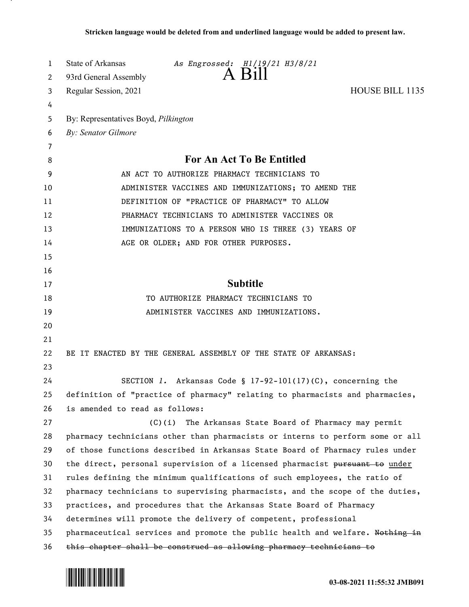| 1  | State of Arkansas<br>As Engrossed: H1/19/21 H3/8/21                           |
|----|-------------------------------------------------------------------------------|
| 2  | A Bill<br>93rd General Assembly                                               |
| 3  | HOUSE BILL 1135<br>Regular Session, 2021                                      |
| 4  |                                                                               |
| 5  | By: Representatives Boyd, Pilkington                                          |
| 6  | By: Senator Gilmore                                                           |
| 7  |                                                                               |
| 8  | For An Act To Be Entitled                                                     |
| 9  | AN ACT TO AUTHORIZE PHARMACY TECHNICIANS TO                                   |
| 10 | ADMINISTER VACCINES AND IMMUNIZATIONS; TO AMEND THE                           |
| 11 | DEFINITION OF "PRACTICE OF PHARMACY" TO ALLOW                                 |
| 12 | PHARMACY TECHNICIANS TO ADMINISTER VACCINES OR                                |
| 13 | IMMUNIZATIONS TO A PERSON WHO IS THREE (3) YEARS OF                           |
| 14 | AGE OR OLDER; AND FOR OTHER PURPOSES.                                         |
| 15 |                                                                               |
| 16 |                                                                               |
| 17 | <b>Subtitle</b>                                                               |
| 18 | TO AUTHORIZE PHARMACY TECHNICIANS TO                                          |
| 19 | ADMINISTER VACCINES AND IMMUNIZATIONS.                                        |
| 20 |                                                                               |
| 21 |                                                                               |
| 22 | BE IT ENACTED BY THE GENERAL ASSEMBLY OF THE STATE OF ARKANSAS:               |
| 23 |                                                                               |
| 24 | SECTION 1. Arkansas Code § $17-92-101(17)(C)$ , concerning the                |
| 25 | definition of "practice of pharmacy" relating to pharmacists and pharmacies,  |
| 26 | is amended to read as follows:                                                |
| 27 | (C)(i)<br>The Arkansas State Board of Pharmacy may permit                     |
| 28 | pharmacy technicians other than pharmacists or interns to perform some or all |
| 29 | of those functions described in Arkansas State Board of Pharmacy rules under  |
| 30 | the direct, personal supervision of a licensed pharmacist pursuant to under   |
| 31 | rules defining the minimum qualifications of such employees, the ratio of     |
| 32 | pharmacy technicians to supervising pharmacists, and the scope of the duties, |
| 33 | practices, and procedures that the Arkansas State Board of Pharmacy           |
| 34 | determines will promote the delivery of competent, professional               |
| 35 | pharmaceutical services and promote the public health and welfare. Nothing in |
| 36 | this chapter shall be construed as allowing pharmacy technicians to           |